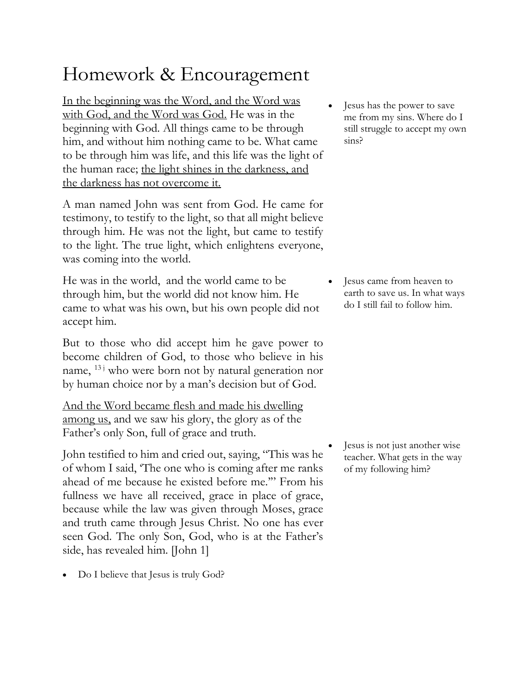## Homework & Encouragement

In the beginning was the Word, and the Word was with God, and the Word was God. He was in the beginning with God. All things came to be through him, and without him nothing came to be. What came to be through him was life, and this life was the light of the human race; the light shines in the darkness, and the darkness has not overcome it.

A man named John was sent from God. He came for testimony, to testify to the light, so that all might believe through him. He was not the light, but came to testify to the light. The true light, which enlightens everyone, was coming into the world.

He was in the world, and the world came to be through him, but the world did not know him. He came to what was his own, but his own people did not accept him.

But to those who did accept him he gave power to become children of God, to those who believe in his name,  $^{13}$  who were born not by natural generation nor by human choice nor by a man's decision but of God.

And the Word became flesh and made his dwelling among us, and we saw his glory, the glory as of the Father's only Son, full of grace and truth.

John testified to him and cried out, saying, "This was he of whom I said, 'The one who is coming after me ranks ahead of me because he existed before me.'" From his fullness we have all received, grace in place of grace, because while the law was given through Moses, grace and truth came through Jesus Christ. No one has ever seen God. The only Son, God, who is at the Father's side, has revealed him. [John 1]

• Do I believe that Jesus is truly God?

• Jesus has the power to save me from my sins. Where do I still struggle to accept my own sins?

Jesus came from heaven to earth to save us. In what ways do I still fail to follow him.

Jesus is not just another wise teacher. What gets in the way of my following him?